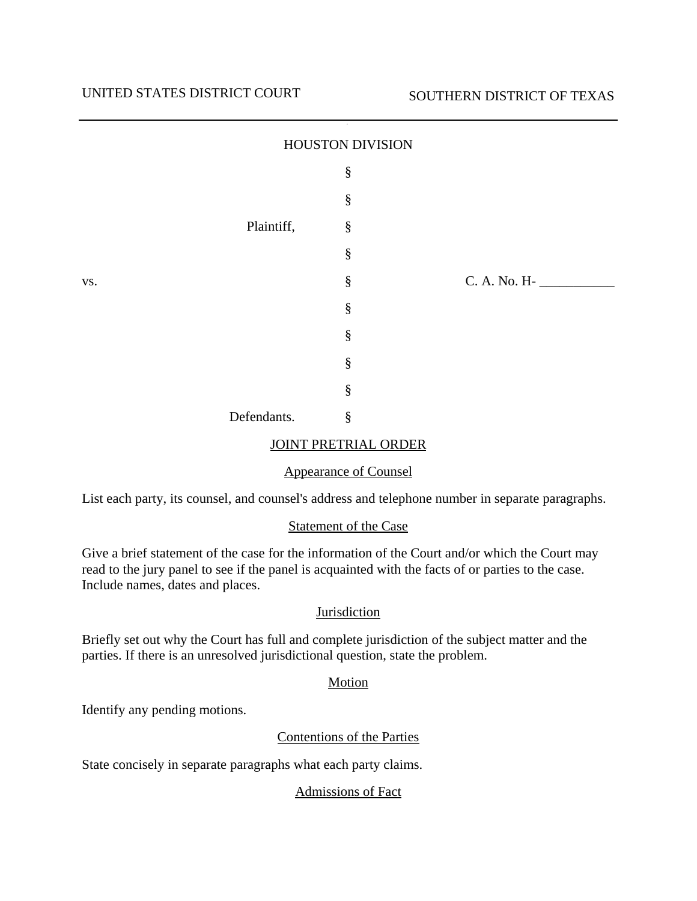|     |             | HOUSTON DIVISION |              |
|-----|-------------|------------------|--------------|
|     |             | $\S$             |              |
|     |             | $\S$             |              |
|     | Plaintiff,  | $\S$             |              |
|     |             | $\S$             |              |
| VS. |             | $\S$             | C. A. No. H- |
|     |             | $\S$             |              |
|     |             | $\S$             |              |
|     |             | $\S$             |              |
|     |             | $\S$             |              |
|     | Defendants. | $\S$             |              |

#### JOINT PRETRIAL ORDER

### Appearance of Counsel

List each party, its counsel, and counsel's address and telephone number in separate paragraphs.

#### Statement of the Case

Give a brief statement of the case for the information of the Court and/or which the Court may read to the jury panel to see if the panel is acquainted with the facts of or parties to the case. Include names, dates and places.

### Jurisdiction

Briefly set out why the Court has full and complete jurisdiction of the subject matter and the parties. If there is an unresolved jurisdictional question, state the problem.

### Motion

Identify any pending motions.

### Contentions of the Parties

State concisely in separate paragraphs what each party claims.

### Admissions of Fact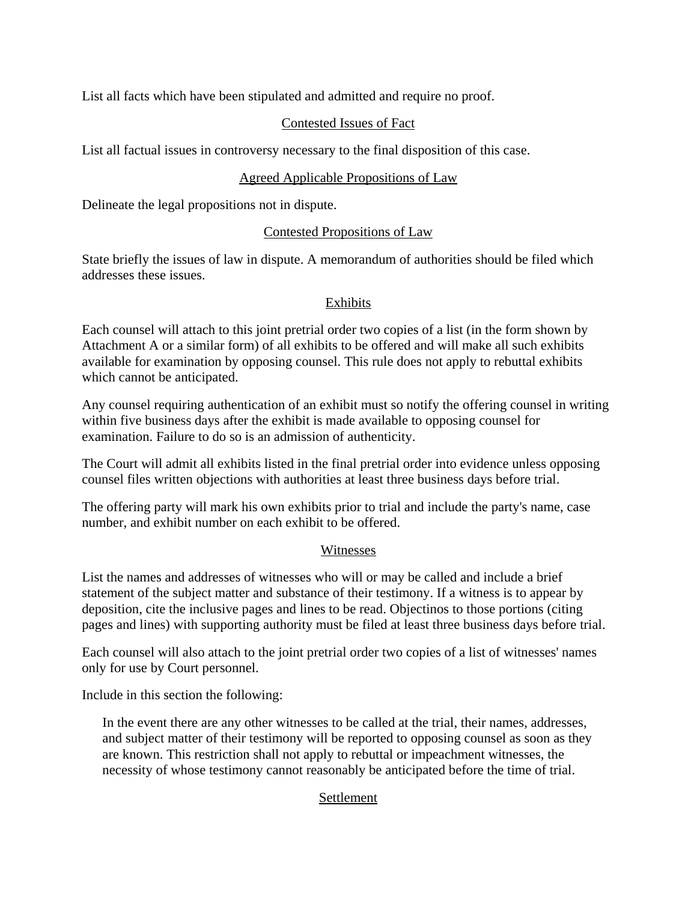List all facts which have been stipulated and admitted and require no proof.

# Contested Issues of Fact

List all factual issues in controversy necessary to the final disposition of this case.

# Agreed Applicable Propositions of Law

Delineate the legal propositions not in dispute.

### Contested Propositions of Law

State briefly the issues of law in dispute. A memorandum of authorities should be filed which addresses these issues.

### Exhibits

Each counsel will attach to this joint pretrial order two copies of a list (in the form shown by Attachment A or a similar form) of all exhibits to be offered and will make all such exhibits available for examination by opposing counsel. This rule does not apply to rebuttal exhibits which cannot be anticipated.

Any counsel requiring authentication of an exhibit must so notify the offering counsel in writing within five business days after the exhibit is made available to opposing counsel for examination. Failure to do so is an admission of authenticity.

The Court will admit all exhibits listed in the final pretrial order into evidence unless opposing counsel files written objections with authorities at least three business days before trial.

The offering party will mark his own exhibits prior to trial and include the party's name, case number, and exhibit number on each exhibit to be offered.

### Witnesses

List the names and addresses of witnesses who will or may be called and include a brief statement of the subject matter and substance of their testimony. If a witness is to appear by deposition, cite the inclusive pages and lines to be read. Objectinos to those portions (citing pages and lines) with supporting authority must be filed at least three business days before trial.

Each counsel will also attach to the joint pretrial order two copies of a list of witnesses' names only for use by Court personnel.

Include in this section the following:

In the event there are any other witnesses to be called at the trial, their names, addresses, and subject matter of their testimony will be reported to opposing counsel as soon as they are known. This restriction shall not apply to rebuttal or impeachment witnesses, the necessity of whose testimony cannot reasonably be anticipated before the time of trial.

### Settlement